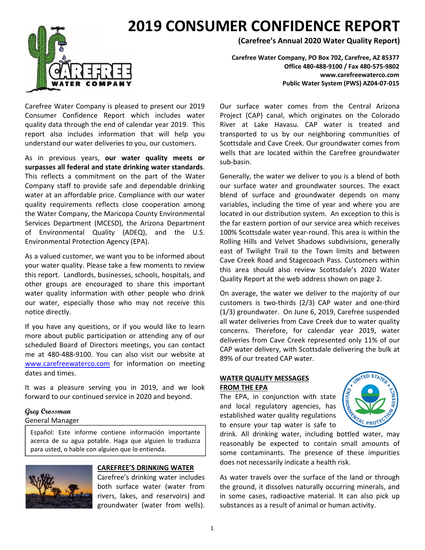# **2019 CONSUMER CONFIDENCE REPORT**



**(Carefree's Annual 2020 Water Quality Report)**

**Carefree Water Company, PO Box 702, Carefree, AZ 85377 Office 480‐488‐9100 / Fax 480‐575‐9802 www.carefreewaterco.com Public Water System (PWS) AZ04‐07‐015**

Carefree Water Company is pleased to present our 2019 Consumer Confidence Report which includes water quality data through the end of calendar year 2019. This report also includes information that will help you understand our water deliveries to you, our customers.

As in previous years, **our water quality meets or surpasses all federal and state drinking water standards**. This reflects a commitment on the part of the Water Company staff to provide safe and dependable drinking water at an affordable price. Compliance with our water quality requirements reflects close cooperation among the Water Company, the Maricopa County Environmental Services Department (MCESD), the Arizona Department of Environmental Quality (ADEQ), and the U.S. Environmental Protection Agency (EPA).

As a valued customer, we want you to be informed about your water quality. Please take a few moments to review this report. Landlords, businesses, schools, hospitals, and other groups are encouraged to share this important water quality information with other people who drink our water, especially those who may not receive this notice directly.

If you have any questions, or if you would like to learn more about public participation or attending any of our scheduled Board of Directors meetings, you can contact me at 480‐488‐9100. You can also visit our website at www.carefreewaterco.com for information on meeting dates and times.

It was a pleasure serving you in 2019, and we look forward to our continued service in 2020 and beyond.

### **Greg Crossman**

#### General Manager

Español: Este informe contiene información importante acerca de su agua potable. Haga que alguien lo traduzca para usted, o hable con alguien que lo entienda.



#### **CAREFREE'S DRINKING WATER**

Carefree's drinking water includes both surface water (water from rivers, lakes, and reservoirs) and groundwater (water from wells).

Our surface water comes from the Central Arizona Project (CAP) canal, which originates on the Colorado River at Lake Havasu. CAP water is treated and transported to us by our neighboring communities of Scottsdale and Cave Creek. Our groundwater comes from wells that are located within the Carefree groundwater sub‐basin.

Generally, the water we deliver to you is a blend of both our surface water and groundwater sources. The exact blend of surface and groundwater depends on many variables, including the time of year and where you are located in our distribution system. An exception to this is the far eastern portion of our service area which receives 100% Scottsdale water year‐round. This area is within the Rolling Hills and Velvet Shadows subdivisions, generally east of Twilight Trail to the Town limits and between Cave Creek Road and Stagecoach Pass. Customers within this area should also review Scottsdale's 2020 Water Quality Report at the web address shown on page 2.

On average, the water we deliver to the majority of our customers is two-thirds (2/3) CAP water and one-third (1/3) groundwater. On June 6, 2019, Carefree suspended all water deliveries from Cave Creek due to water quality concerns. Therefore, for calendar year 2019, water deliveries from Cave Creek represented only 11% of our CAP water delivery, with Scottsdale delivering the bulk at 89% of our treated CAP water.

# **WATER QUALITY MESSAGES FROM THE EPA**

The EPA, in conjunction with state and local regulatory agencies, has established water quality regulations to ensure your tap water is safe to



drink. All drinking water, including bottled water, may reasonably be expected to contain small amounts of some contaminants. The presence of these impurities does not necessarily indicate a health risk.

As water travels over the surface of the land or through the ground, it dissolves naturally occurring minerals, and in some cases, radioactive material. It can also pick up substances as a result of animal or human activity.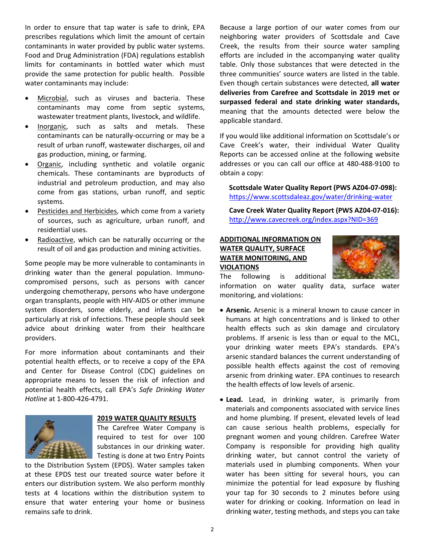In order to ensure that tap water is safe to drink, EPA prescribes regulations which limit the amount of certain contaminants in water provided by public water systems. Food and Drug Administration (FDA) regulations establish limits for contaminants in bottled water which must provide the same protection for public health. Possible water contaminants may include:

- Microbial, such as viruses and bacteria. These contaminants may come from septic systems, wastewater treatment plants, livestock, and wildlife.
- Inorganic, such as salts and metals. These contaminants can be naturally‐occurring or may be a result of urban runoff, wastewater discharges, oil and gas production, mining, or farming.
- Organic, including synthetic and volatile organic chemicals. These contaminants are byproducts of industrial and petroleum production, and may also come from gas stations, urban runoff, and septic systems.
- Pesticides and Herbicides, which come from a variety of sources, such as agriculture, urban runoff, and residential uses.
- Radioactive, which can be naturally occurring or the result of oil and gas production and mining activities.

Some people may be more vulnerable to contaminants in drinking water than the general population. Immuno‐ compromised persons, such as persons with cancer undergoing chemotherapy, persons who have undergone organ transplants, people with HIV‐AIDS or other immune system disorders, some elderly, and infants can be particularly at risk of infections. These people should seek advice about drinking water from their healthcare providers.

For more information about contaminants and their potential health effects, or to receive a copy of the EPA and Center for Disease Control (CDC) guidelines on appropriate means to lessen the risk of infection and potential health effects, call EPA's *Safe Drinking Water Hotline* at 1‐800‐426‐4791.



#### **2019 WATER QUALITY RESULTS**

The Carefree Water Company is required to test for over 100 substances in our drinking water. Testing is done at two Entry Points

to the Distribution System (EPDS). Water samples taken at these EPDS test our treated source water before it enters our distribution system. We also perform monthly tests at 4 locations within the distribution system to ensure that water entering your home or business remains safe to drink.

Because a large portion of our water comes from our neighboring water providers of Scottsdale and Cave Creek, the results from their source water sampling efforts are included in the accompanying water quality table. Only those substances that were detected in the three communities' source waters are listed in the table. Even though certain substances were detected, **all water deliveries from Carefree and Scottsdale in 2019 met or surpassed federal and state drinking water standards,** meaning that the amounts detected were below the applicable standard.

If you would like additional information on Scottsdale's or Cave Creek's water, their individual Water Quality Reports can be accessed online at the following website addresses or you can call our office at 480‐488‐9100 to obtain a copy:

**Scottsdale Water Quality Report (PWS AZ04‐07‐098):** https://www.scottsdaleaz.gov/water/drinking‐water

**Cave Creek Water Quality Report (PWS AZ04‐07‐016):** http://www.cavecreek.org/index.aspx?NID=369

## **ADDITIONAL INFORMATION ON WATER QUALITY, SURFACE WATER MONITORING, AND VIOLATIONS**



The following is additional information on water quality data, surface water monitoring, and violations:

- **Arsenic.** Arsenic is a mineral known to cause cancer in humans at high concentrations and is linked to other health effects such as skin damage and circulatory problems. If arsenic is less than or equal to the MCL, your drinking water meets EPA's standards. EPA's arsenic standard balances the current understanding of possible health effects against the cost of removing arsenic from drinking water. EPA continues to research the health effects of low levels of arsenic.
- **Lead.** Lead, in drinking water, is primarily from materials and components associated with service lines and home plumbing. If present, elevated levels of lead can cause serious health problems, especially for pregnant women and young children. Carefree Water Company is responsible for providing high quality drinking water, but cannot control the variety of materials used in plumbing components. When your water has been sitting for several hours, you can minimize the potential for lead exposure by flushing your tap for 30 seconds to 2 minutes before using water for drinking or cooking. Information on lead in drinking water, testing methods, and steps you can take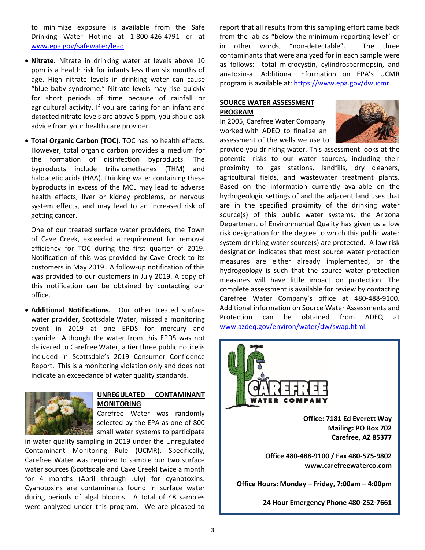to minimize exposure is available from the Safe Drinking Water Hotline at 1‐800‐426‐4791 or at www.epa.gov/safewater/lead.

- **Nitrate.** Nitrate in drinking water at levels above 10 ppm is a health risk for infants less than six months of age. High nitrate levels in drinking water can cause "blue baby syndrome." Nitrate levels may rise quickly for short periods of time because of rainfall or agricultural activity. If you are caring for an infant and detected nitrate levels are above 5 ppm, you should ask advice from your health care provider.
- **Total Organic Carbon (TOC).** TOC has no health effects. However, total organic carbon provides a medium for the formation of disinfection byproducts. The byproducts include trihalomethanes (THM) and haloacetic acids (HAA). Drinking water containing these byproducts in excess of the MCL may lead to adverse health effects, liver or kidney problems, or nervous system effects, and may lead to an increased risk of getting cancer.

One of our treated surface water providers, the Town of Cave Creek, exceeded a requirement for removal efficiency for TOC during the first quarter of 2019. Notification of this was provided by Cave Creek to its customers in May 2019. A follow‐up notification of this was provided to our customers in July 2019. A copy of this notification can be obtained by contacting our office.

**• Additional Notifications.** Our other treated surface water provider, Scottsdale Water, missed a monitoring event in 2019 at one EPDS for mercury and cyanide. Although the water from this EPDS was not delivered to Carefree Water, a tier three public notice is included in Scottsdale's 2019 Consumer Confidence Report. This is a monitoring violation only and does not indicate an exceedance of water quality standards.



#### **UNREGULATED CONTAMINANT MONITORING**

Carefree Water was randomly selected by the EPA as one of 800 small water systems to participate

in water quality sampling in 2019 under the Unregulated Contaminant Monitoring Rule (UCMR). Specifically, Carefree Water was required to sample our two surface water sources (Scottsdale and Cave Creek) twice a month for 4 months (April through July) for cyanotoxins. Cyanotoxins are contaminants found in surface water during periods of algal blooms. A total of 48 samples were analyzed under this program. We are pleased to report that all results from this sampling effort came back from the lab as "below the minimum reporting level" or in other words, "non‐detectable". The three contaminants that were analyzed for in each sample were as follows: total microcystin, cylindrospermopsin, and anatoxin‐a. Additional information on EPA's UCMR program is available at: https://www.epa.gov/dwucmr.

# **SOURCE WATER ASSESSMENT PROGRAM**

In 2005, Carefree Water Company worked with ADEQ to finalize an assessment of the wells we use to



provide you drinking water. This assessment looks at the potential risks to our water sources, including their proximity to gas stations, landfills, dry cleaners, agricultural fields, and wastewater treatment plants. Based on the information currently available on the hydrogeologic settings of and the adjacent land uses that are in the specified proximity of the drinking water source(s) of this public water systems, the Arizona Department of Environmental Quality has given us a low risk designation for the degree to which this public water system drinking water source(s) are protected. A low risk designation indicates that most source water protection measures are either already implemented, or the hydrogeology is such that the source water protection measures will have little impact on protection. The complete assessment is available for review by contacting Carefree Water Company's office at 480‐488‐9100. Additional information on Source Water Assessments and Protection can be obtained from ADEQ at www.azdeq.gov/environ/water/dw/swap.html.



**24 Hour Emergency Phone 480‐252‐7661**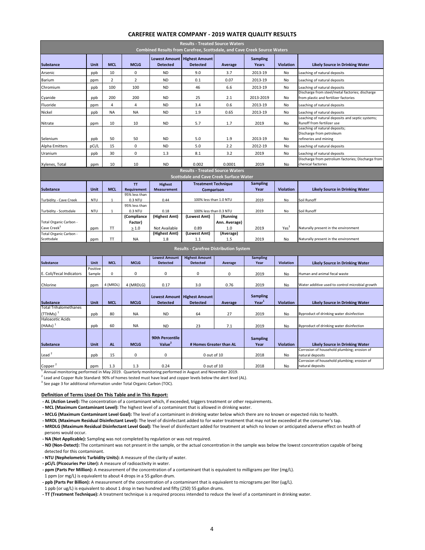#### **CAREFREE WATER COMPANY - 2019 WATER QUALITY RESULTS**

| <b>Results - Treated Source Waters</b><br>Combined Results from Carefree, Scottsdale, and Cave Creek Source Waters |            |                |                          |                                         |                                                        |               |                          |                  |                                                                                  |  |
|--------------------------------------------------------------------------------------------------------------------|------------|----------------|--------------------------|-----------------------------------------|--------------------------------------------------------|---------------|--------------------------|------------------|----------------------------------------------------------------------------------|--|
| <b>Substance</b>                                                                                                   | Unit       | <b>MCL</b>     | <b>MCLG</b>              | <b>Detected</b>                         | <b>Lowest Amount Highest Amount</b><br><b>Detected</b> | Average       | <b>Sampling</b><br>Years | <b>Violation</b> | <b>Likely Source in Drinking Water</b>                                           |  |
| Arsenic                                                                                                            | ppb        | 10             | 0                        | <b>ND</b>                               | 9.0                                                    | 3.7           | 2013-19                  | No               | Leaching of natural deposits                                                     |  |
| Barium                                                                                                             | ppm        | $\overline{2}$ | $\overline{2}$           | <b>ND</b>                               | 0.1                                                    | 0.07          | 2013-19                  | No               | Leaching of natural deposits                                                     |  |
| Chromium                                                                                                           | ppb        | 100            | 100                      | <b>ND</b>                               | 46                                                     | 6.6           | 2013-19                  | No               | Leaching of natural deposits                                                     |  |
|                                                                                                                    |            |                |                          |                                         |                                                        |               |                          |                  | Discharge from steel/metal factories; discharge                                  |  |
| Cyanide                                                                                                            | ppb        | 200            | 200                      | <b>ND</b>                               | 25                                                     | 2.1           | 2013-2019                | No               | from plastic and fertilizer factories                                            |  |
| Fluoride                                                                                                           | ppm        | 4              | 4                        | <b>ND</b>                               | 3.4                                                    | 0.6           | 2013-19                  | No               | Leaching of natural deposits                                                     |  |
| Nickel                                                                                                             | ppb        | <b>NA</b>      | <b>NA</b>                | <b>ND</b>                               | 1.9                                                    | 0.65          | 2013-19                  | No               | Leaching of natural deposits<br>Leaching of natural deposits and septic systems; |  |
| Nitrate                                                                                                            | ppm        | 10             | 10                       | <b>ND</b>                               | 5.7                                                    | 1.7           | 2019                     | No               | Runoff from fertilizer use                                                       |  |
|                                                                                                                    |            |                |                          |                                         |                                                        |               |                          |                  | Leaching of natural deposits;                                                    |  |
| Selenium                                                                                                           | ppb        | 50             | 50                       | <b>ND</b>                               | 5.0                                                    | 1.9           | 2013-19                  | No               | Discharge from petroleum<br>refineries and mining                                |  |
| Alpha Emitters                                                                                                     | pCi/L      | 15             | 0                        | <b>ND</b>                               | 5.0                                                    | 2.2           | 2012-19                  | No               | Leaching of natural deposits                                                     |  |
| Uranium                                                                                                            | ppb        | 30             | 0                        | 1.3                                     | 8.1                                                    | 3.2           | 2019                     | No               | Leaching of natural deposits                                                     |  |
|                                                                                                                    |            |                |                          |                                         |                                                        |               |                          |                  | Discharge from petrolium factories; Discharge from                               |  |
| Xylenes, Total                                                                                                     | ppm        | 10             | 10                       | <b>ND</b>                               | 0.002                                                  | 0.0001        | 2019                     | No               | chenical factories                                                               |  |
|                                                                                                                    |            |                |                          |                                         | <b>Results - Treated Source Waters</b>                 |               |                          |                  |                                                                                  |  |
|                                                                                                                    |            |                |                          |                                         | <b>Scottsdale and Cave Creek Surface Water</b>         |               |                          |                  |                                                                                  |  |
| <b>Substance</b>                                                                                                   | Unit       | <b>MCL</b>     | <b>TT</b><br>Requirement | <b>Highest</b><br><b>Measurement</b>    | <b>Treatment Technique</b><br>Comparison               |               | <b>Sampling</b><br>Year  | <b>Violation</b> | <b>Likely Source in Drinking Water</b>                                           |  |
|                                                                                                                    |            |                | 95% less than            |                                         |                                                        |               |                          |                  |                                                                                  |  |
| Turbidity - Cave Creek                                                                                             | <b>NTU</b> | $\mathbf{1}$   | 0.3 NTU                  | 0.44                                    | 100% less than 1.0 NTU                                 |               | 2019                     | No               | Soil Runoff                                                                      |  |
| Turbidity - Scottsdale                                                                                             | <b>NTU</b> | $\mathbf 1$    | 95% less than<br>0.3 NTU | 0.18                                    | 100% less than 0.3 NTU                                 |               | 2019                     | No               | Soil Runoff                                                                      |  |
|                                                                                                                    |            |                | (Compliance              | (Highest Amt)                           | (Lowest Amt)                                           | (Running      |                          |                  |                                                                                  |  |
| Total Organic Carbon -                                                                                             |            |                | Factor)                  |                                         |                                                        | Ann. Average) |                          |                  |                                                                                  |  |
| Cave Creek <sup>3</sup>                                                                                            | ppm        | TT             | $\geq 1.0$               | Not Available                           | 0.89                                                   | 1.0           | 2019                     | Yes <sup>3</sup> | Naturally present in the environment                                             |  |
| Total Organic Carbon -                                                                                             |            |                |                          | (Highest Amt)                           | (Lowest Amt)                                           | (Average)     |                          |                  |                                                                                  |  |
| Scottsdale<br>TT<br>2019<br><b>NA</b><br>1.8<br>1.1<br>1.5<br>No<br>ppm<br>Naturally present in the environment    |            |                |                          |                                         |                                                        |               |                          |                  |                                                                                  |  |
|                                                                                                                    |            |                |                          |                                         | <b>Results - Carefree Distribution System</b>          |               |                          |                  |                                                                                  |  |
| <b>Substance</b>                                                                                                   | Unit       | <b>MCL</b>     | <b>MCLG</b>              | <b>Lowest Amount</b><br><b>Detected</b> | <b>Highest Amount</b><br><b>Detected</b>               | Average       | <b>Sampling</b><br>Year  | <b>Violation</b> | <b>Likely Source in Drinking Water</b>                                           |  |
|                                                                                                                    | Positive   |                |                          |                                         |                                                        |               |                          |                  |                                                                                  |  |
| E. Coli/Fecal Indicators                                                                                           | Sample     | $\mathbf 0$    | 0                        | 0                                       | 0                                                      | $\pmb{0}$     | 2019                     | No               | Human and animal fecal waste                                                     |  |
| Chlorine                                                                                                           | ppm        | 4 (MRDL)       | 4 (MRDLG)                | 0.17                                    | 3.0                                                    | 0.76          | 2019                     | No               | Water additive used to control microbial growth                                  |  |
|                                                                                                                    |            |                |                          | <b>Lowest Amount</b>                    | <b>Highest Amount</b>                                  |               | <b>Sampling</b>          |                  |                                                                                  |  |
| <b>Substance</b>                                                                                                   | Unit       | <b>MCL</b>     | <b>MCLG</b>              | <b>Detected</b>                         | <b>Detected</b>                                        | Average       | Year <sup>1</sup>        | <b>Violation</b> | <b>Likely Source in Drinking Water</b>                                           |  |
| <b>Total Trihalomethanes</b>                                                                                       |            |                |                          |                                         |                                                        |               |                          |                  |                                                                                  |  |
| (TTHMs) $^1$<br><b>Haloacetic Acids</b>                                                                            | ppb        | 80             | <b>NA</b>                | <b>ND</b>                               | 64                                                     | 27            | 2019                     | No               | Byproduct of drinking water disinfection                                         |  |
| (HAAs) $1$                                                                                                         | ppb        | 60             | <b>NA</b>                | <b>ND</b>                               | 23                                                     | 7.1           | 2019                     | No               | Byproduct of drinking water disinfection                                         |  |
|                                                                                                                    |            |                |                          | <b>90th Percentile</b>                  |                                                        |               |                          |                  |                                                                                  |  |
| <b>Substance</b>                                                                                                   | Unit       | <b>AL</b>      | <b>MCLG</b>              | Value <sup>2</sup>                      | # Homes Greater than AL                                |               | <b>Sampling</b><br>Year  | <b>Violation</b> | <b>Likely Source in Drinking Water</b>                                           |  |
|                                                                                                                    |            |                |                          |                                         |                                                        |               |                          |                  | Corrosion of household plumbing; erosion of                                      |  |
| Lead <sup>2</sup>                                                                                                  | ppb        | 15             | 0                        | 0                                       | 0 out of 10                                            |               | 2018                     | No               | natural deposits                                                                 |  |
| Copper <sup>2</sup>                                                                                                | ppm        | 1.3            | 1.3                      | 0.24                                    | 0 out of 10                                            |               | 2018                     |                  | Corrosion of household plumbing; erosion of<br>natural deposits                  |  |
|                                                                                                                    |            |                |                          |                                         |                                                        |               |                          | No               |                                                                                  |  |

<sup>1</sup> Annual monitoring performed in May 2019. Quarterly monitoring performed in August and November 2019.

<sup>2</sup> Lead and Copper Rule Standard: 90% of homes tested must have lead and copper levels below the alert level (AL).

<sup>3</sup> See page 3 for additional information under Total Organic Carbon (TOC).

#### **Definition of Terms Used On This Table and in This Report:**

 **- AL (Action Level):** The concentration of a contaminant which, if exceeded, triggers treatment or other requirements.

 **- MCL (Maximum Contaminant Level):** The highest level of a contaminant that is allowed in drinking water.

 **- MCLG (Maximum Contaminant Level Goal):** The level of a contaminant in drinking water below which there are no known or expected risks to health.

 **- MRDL (Maximum Residual Disinfectant Level):** The level of disinfectant added to for water treatment that may not be exceeded at the consumer's tap.

 **- MRDLG (Maximum Residual Disinfectant Level Goal):** The level of disinfectant added for treatment at which no known or anticipated adverse effect on health of persons would occur.

 **- NA (Not Applicable):** Sampling was not completed by regulation or was not required.

 **- ND (Non-Detect):** The contaminant was not present in the sample, or the actual concentration in the sample was below the lowest concentration capable of being detected for this contaminant.

 **- NTU (Nephelometric Turbidity Units):** A measure of the clarity of water.

 **- pCi/L (Picocuries Per Liter):** A measure of radioactivity in water.

 **- ppm (Parts Per Million):** A measurement of the concentration of a contaminant that is equivalent to milligrams per liter (mg/L).

1 ppm (or mg/L) is equivalent to about 4 drops in a 55 gallon drum.

 **- ppb (Parts Per Billion):** A measurement of the concentration of a contaminant that is equivalent to micrograms per liter (ug/L).

1 ppb (or ug/L) is equivalent to about 1 drop in two hundred and fifty (250) 55 gallon drums.

 **- TT (Treatment Technique):** A treatment technique is a required process intended to reduce the level of a contaminant in drinking water.